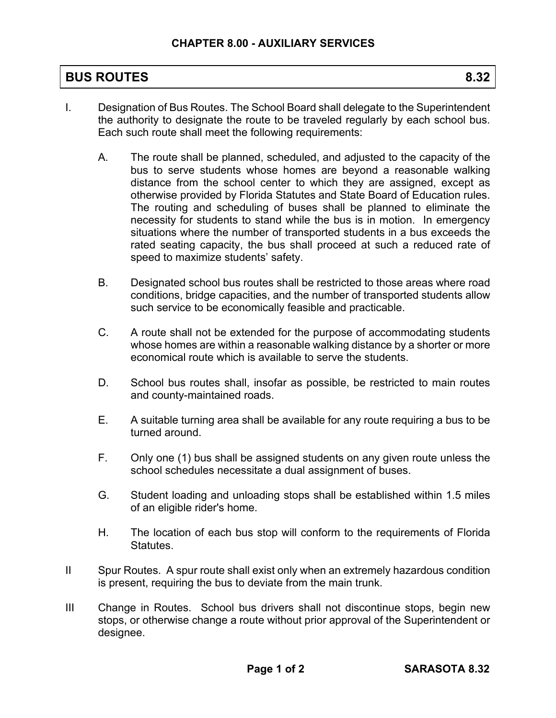## **BUS ROUTES** 8.32

- I. Designation of Bus Routes. The School Board shall delegate to the Superintendent the authority to designate the route to be traveled regularly by each school bus. Each such route shall meet the following requirements:
	- A. The route shall be planned, scheduled, and adjusted to the capacity of the bus to serve students whose homes are beyond a reasonable walking distance from the school center to which they are assigned, except as otherwise provided by Florida Statutes and State Board of Education rules. The routing and scheduling of buses shall be planned to eliminate the necessity for students to stand while the bus is in motion. In emergency situations where the number of transported students in a bus exceeds the rated seating capacity, the bus shall proceed at such a reduced rate of speed to maximize students' safety.
	- B. Designated school bus routes shall be restricted to those areas where road conditions, bridge capacities, and the number of transported students allow such service to be economically feasible and practicable.
	- C. A route shall not be extended for the purpose of accommodating students whose homes are within a reasonable walking distance by a shorter or more economical route which is available to serve the students.
	- D. School bus routes shall, insofar as possible, be restricted to main routes and county-maintained roads.
	- E. A suitable turning area shall be available for any route requiring a bus to be turned around.
	- F. Only one (1) bus shall be assigned students on any given route unless the school schedules necessitate a dual assignment of buses.
	- G. Student loading and unloading stops shall be established within 1.5 miles of an eligible rider's home.
	- H. The location of each bus stop will conform to the requirements of Florida Statutes.
- II Spur Routes. A spur route shall exist only when an extremely hazardous condition is present, requiring the bus to deviate from the main trunk.
- III Change in Routes. School bus drivers shall not discontinue stops, begin new stops, or otherwise change a route without prior approval of the Superintendent or designee.